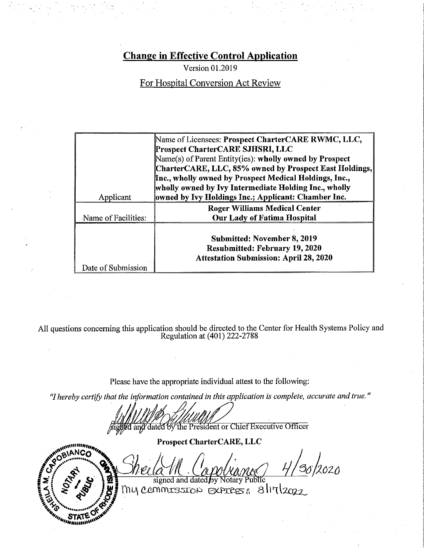Version 01.2019

For Hospital Conversion Act Review

|                     | Name of Licensees: Prospect CharterCARE RWMC, LLC,<br>Prospect CharterCARE SJHSRI, LLC |
|---------------------|----------------------------------------------------------------------------------------|
|                     | Name(s) of Parent Entity(ies): wholly owned by Prospect                                |
|                     | CharterCARE, LLC, 85% owned by Prospect East Holdings,                                 |
|                     | Inc., wholly owned by Prospect Medical Holdings, Inc.,                                 |
|                     | wholly owned by Ivy Intermediate Holding Inc., wholly                                  |
| Applicant           | owned by Ivy Holdings Inc.; Applicant: Chamber Inc.                                    |
|                     | <b>Roger Williams Medical Center</b>                                                   |
| Name of Facilities: | <b>Our Lady of Fatima Hospital</b>                                                     |
|                     |                                                                                        |
|                     | Submitted: November 8, 2019                                                            |
|                     | <b>Resubmitted: February 19, 2020</b>                                                  |
|                     | <b>Attestation Submission: April 28, 2020</b>                                          |
| Date of Submission  |                                                                                        |

All questions concerning this application should be directed to the Center for Health Systems Policy and<br>Regulation at (401) 222-2788

Please have the appropriate individual attest to the following:

"I hereby certify that the information contained in this application is complete, accurate and true."

And and dated by the President or Chief Executive Officer

ando de la provincia de la contratación de la contratación de la contratación de la contratación de la contratación de la contratación de la contratación de la contratación de la contratación de la contratación de la contr "Bunannin

**Prospect CharterCARE, LLC** 

,<br>36/2020

signed and dated by Notary Public my commission express 8/17/2022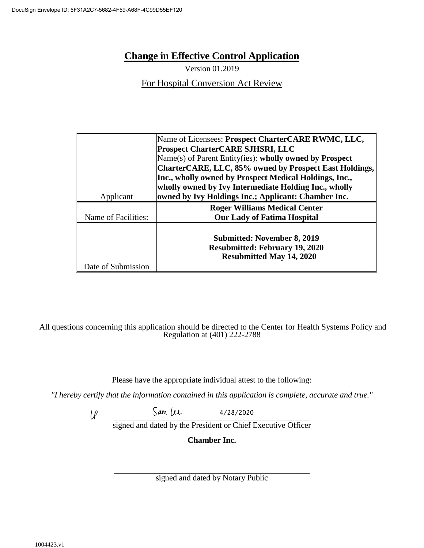Version 01.2019

For Hospital Conversion Act Review

|                     | Name of Licensees: Prospect CharterCARE RWMC, LLC,<br><b>Prospect CharterCARE SJHSRI, LLC</b> |
|---------------------|-----------------------------------------------------------------------------------------------|
|                     |                                                                                               |
|                     | Name(s) of Parent Entity(ies): wholly owned by Prospect                                       |
|                     | CharterCARE, LLC, 85% owned by Prospect East Holdings,                                        |
|                     | Inc., wholly owned by Prospect Medical Holdings, Inc.,                                        |
|                     | wholly owned by Ivy Intermediate Holding Inc., wholly                                         |
| Applicant           | owned by Ivy Holdings Inc.; Applicant: Chamber Inc.                                           |
|                     | <b>Roger Williams Medical Center</b>                                                          |
| Name of Facilities: | <b>Our Lady of Fatima Hospital</b>                                                            |
|                     |                                                                                               |
|                     | <b>Submitted: November 8, 2019</b>                                                            |
|                     | <b>Resubmitted: February 19, 2020</b>                                                         |
|                     |                                                                                               |
|                     | <b>Resubmitted May 14, 2020</b>                                                               |
| Date of Submission  |                                                                                               |

#### All questions concerning this application should be directed to the Center for Health Systems Policy and Regulation at (401) 222-2788

Please have the appropriate individual attest to the following:

*"I hereby certify that the information contained in this application is complete, accurate and true."*

4/28/2020  $l_{\ell}$  $\frac{1}{2}$ 

signed and dated by the President or Chief Executive Officer

**Chamber Inc.**

\_\_\_\_\_\_\_\_\_\_\_\_\_\_\_\_\_\_\_\_\_\_\_\_\_\_\_\_\_\_\_\_\_\_\_\_\_\_\_\_\_\_\_\_\_\_\_\_ signed and dated by Notary Public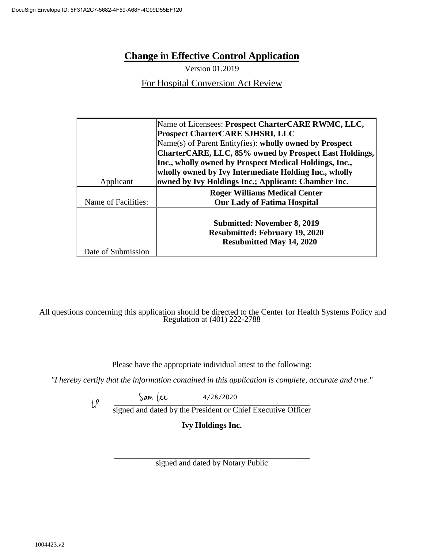Version 01.2019

For Hospital Conversion Act Review

|                     | Name of Licensees: Prospect CharterCARE RWMC, LLC,      |
|---------------------|---------------------------------------------------------|
|                     | <b>Prospect CharterCARE SJHSRI, LLC</b>                 |
|                     | Name(s) of Parent Entity(ies): wholly owned by Prospect |
|                     | CharterCARE, LLC, 85% owned by Prospect East Holdings,  |
|                     | Inc., wholly owned by Prospect Medical Holdings, Inc.,  |
|                     | wholly owned by Ivy Intermediate Holding Inc., wholly   |
| Applicant           | owned by Ivy Holdings Inc.; Applicant: Chamber Inc.     |
|                     | <b>Roger Williams Medical Center</b>                    |
| Name of Facilities: | <b>Our Lady of Fatima Hospital</b>                      |
|                     |                                                         |
|                     | <b>Submitted: November 8, 2019</b>                      |
|                     | <b>Resubmitted: February 19, 2020</b>                   |
|                     | <b>Resubmitted May 14, 2020</b>                         |
| Date of Submission  |                                                         |

All questions concerning this application should be directed to the Center for Health Systems Policy and Regulation at (401) 222-2788

Please have the appropriate individual attest to the following:

*"I hereby certify that the information contained in this application is complete, accurate and true."*

 $J^{\mu\nu}$ 4/28/2020

signed and dated by the President or Chief Executive Officer

**Ivy Holdings Inc.**

\_\_\_\_\_\_\_\_\_\_\_\_\_\_\_\_\_\_\_\_\_\_\_\_\_\_\_\_\_\_\_\_\_\_\_\_\_\_\_\_\_\_\_\_\_\_\_\_ signed and dated by Notary Public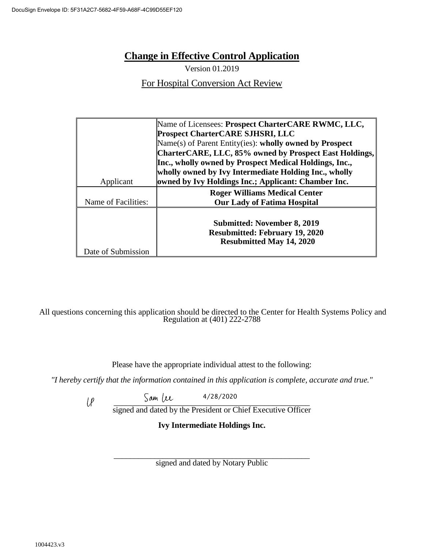Version 01.2019

For Hospital Conversion Act Review

|                     | Name of Licensees: Prospect CharterCARE RWMC, LLC,      |
|---------------------|---------------------------------------------------------|
|                     | <b>Prospect CharterCARE SJHSRI, LLC</b>                 |
|                     | Name(s) of Parent Entity(ies): wholly owned by Prospect |
|                     | CharterCARE, LLC, 85% owned by Prospect East Holdings,  |
|                     | Inc., wholly owned by Prospect Medical Holdings, Inc.,  |
|                     | wholly owned by Ivy Intermediate Holding Inc., wholly   |
| Applicant           | owned by Ivy Holdings Inc.; Applicant: Chamber Inc.     |
|                     | <b>Roger Williams Medical Center</b>                    |
| Name of Facilities: | <b>Our Lady of Fatima Hospital</b>                      |
|                     |                                                         |
|                     | <b>Submitted: November 8, 2019</b>                      |
|                     | <b>Resubmitted: February 19, 2020</b>                   |
|                     | <b>Resubmitted May 14, 2020</b>                         |
| Date of Submission  |                                                         |

All questions concerning this application should be directed to the Center for Health Systems Policy and Regulation at (401) 222-2788

Please have the appropriate individual attest to the following:

*"I hereby certify that the information contained in this application is complete, accurate and true."*

 $5$  am  $1/2$ 4/28/2020

signed and dated by the President or Chief Executive Officer

**Ivy Intermediate Holdings Inc.**

\_\_\_\_\_\_\_\_\_\_\_\_\_\_\_\_\_\_\_\_\_\_\_\_\_\_\_\_\_\_\_\_\_\_\_\_\_\_\_\_\_\_\_\_\_\_\_\_ signed and dated by Notary Public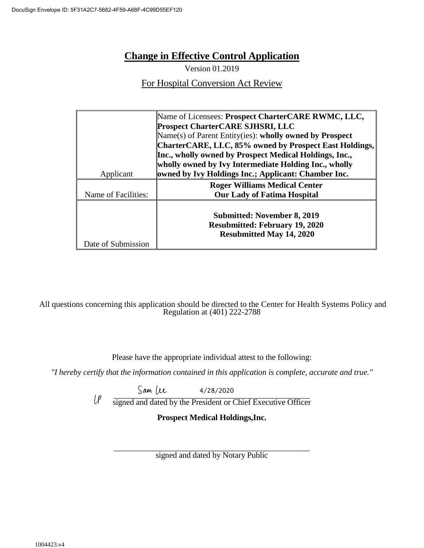Version 01.2019

For Hospital Conversion Act Review

|                     | Name of Licensees: Prospect CharterCARE RWMC, LLC,      |
|---------------------|---------------------------------------------------------|
|                     | <b>Prospect CharterCARE SJHSRI, LLC</b>                 |
|                     | Name(s) of Parent Entity(ies): wholly owned by Prospect |
|                     | CharterCARE, LLC, 85% owned by Prospect East Holdings,  |
|                     | Inc., wholly owned by Prospect Medical Holdings, Inc.,  |
|                     | wholly owned by Ivy Intermediate Holding Inc., wholly   |
| Applicant           | owned by Ivy Holdings Inc.; Applicant: Chamber Inc.     |
|                     | <b>Roger Williams Medical Center</b>                    |
| Name of Facilities: | <b>Our Lady of Fatima Hospital</b>                      |
|                     |                                                         |
|                     | <b>Submitted: November 8, 2019</b>                      |
|                     | <b>Resubmitted: February 19, 2020</b>                   |
|                     | <b>Resubmitted May 14, 2020</b>                         |
| Date of Submission  |                                                         |

All questions concerning this application should be directed to the Center for Health Systems Policy and Regulation at (401) 222-2788

Please have the appropriate individual attest to the following:

*"I hereby certify that the information contained in this application is complete, accurate and true."*

 $54/20/2020$ 4/28/2020

signed and dated by the President or Chief Executive Officer

**Prospect Medical Holdings,Inc.**

\_\_\_\_\_\_\_\_\_\_\_\_\_\_\_\_\_\_\_\_\_\_\_\_\_\_\_\_\_\_\_\_\_\_\_\_\_\_\_\_\_\_\_\_\_\_\_\_ signed and dated by Notary Public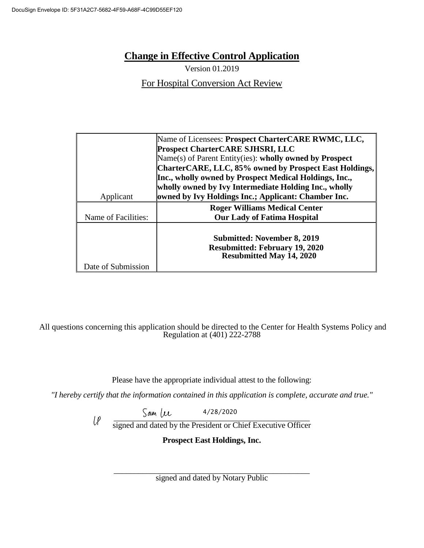Version 01.2019

For Hospital Conversion Act Review

|                     | Name of Licensees: Prospect CharterCARE RWMC, LLC,      |
|---------------------|---------------------------------------------------------|
|                     | <b>Prospect CharterCARE SJHSRI, LLC</b>                 |
|                     | Name(s) of Parent Entity(ies): wholly owned by Prospect |
|                     | CharterCARE, LLC, 85% owned by Prospect East Holdings,  |
|                     | Inc., wholly owned by Prospect Medical Holdings, Inc.,  |
|                     | wholly owned by Ivy Intermediate Holding Inc., wholly   |
| Applicant           | owned by Ivy Holdings Inc.; Applicant: Chamber Inc.     |
|                     | <b>Roger Williams Medical Center</b>                    |
| Name of Facilities: | <b>Our Lady of Fatima Hospital</b>                      |
|                     |                                                         |
|                     | <b>Submitted: November 8, 2019</b>                      |
|                     | <b>Resubmitted: February 19, 2020</b>                   |
|                     |                                                         |
|                     | <b>Resubmitted May 14, 2020</b>                         |
| Date of Submission  |                                                         |

#### All questions concerning this application should be directed to the Center for Health Systems Policy and Regulation at (401) 222-2788

Please have the appropriate individual attest to the following:

*"I hereby certify that the information contained in this application is complete, accurate and true."*

4/28/2020

 $5000 \, \mu \text{V}$  $U^{\rho}$ signed and dated by the President or Chief Executive Officer

**Prospect East Holdings, Inc.**

\_\_\_\_\_\_\_\_\_\_\_\_\_\_\_\_\_\_\_\_\_\_\_\_\_\_\_\_\_\_\_\_\_\_\_\_\_\_\_\_\_\_\_\_\_\_\_\_ signed and dated by Notary Public